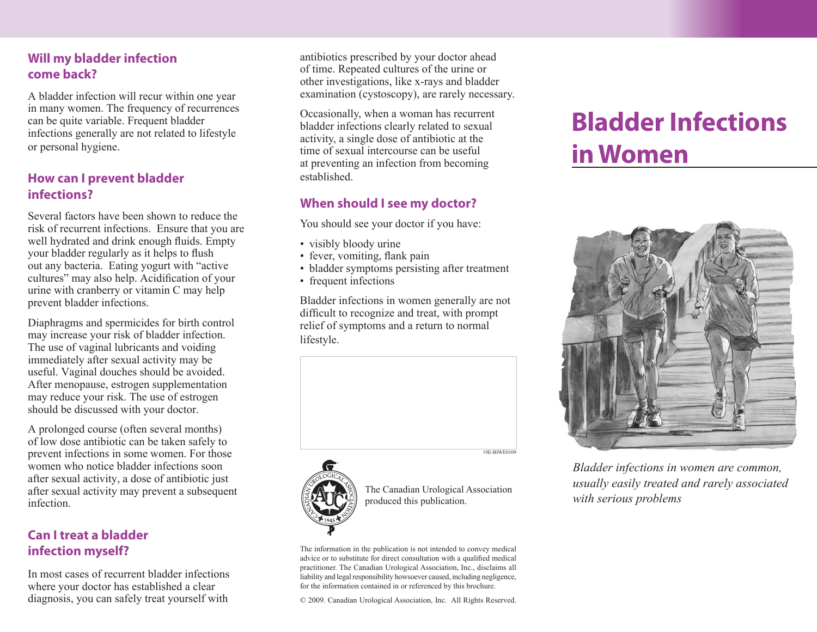## **Will my bladder infection come back?**

A bladder infection will recur within one year in many women. The frequency of recurrences can be quite variable. Frequent bladder infections generally are not related to lifestyle or personal hygiene.

## **How can I prevent bladder infections?**

Several factors have been shown to reduce the risk of recurrent infections. Ensure that you are well hydrated and drink enough fluids. Empty your bladder regularly as it helps to flush out any bacteria. Eating yogurt with "active cultures" may also help. Acidification of your urine with cranberry or vitamin C may help prevent bladder infections.

Diaphragms and spermicides for birth control may increase your risk of bladder infection. The use of vaginal lubricants and voiding immediately after sexual activity may be useful. Vaginal douches should be avoided. After menopause, estrogen supplementation may reduce your risk. The use of estrogen should be discussed with your doctor.

A prolonged course (often several months) of low dose antibiotic can be taken safely to prevent infections in some women. For those women who notice bladder infections soon after sexual activity, a dose of antibiotic just after sexual activity may prevent a subsequent infection.

# **Can I treat a bladder infection myself?**

In most cases of recurrent bladder infections where your doctor has established a clear diagnosis, you can safely treat yourself with

antibiotics prescribed by your doctor ahead of time. Repeated cultures of the urine or other investigations, like x-rays and bladder examination (cystoscopy), are rarely necessary.

Occasionally, when a woman has recurrent bladder infections clearly related to sexual activity, a single dose of antibiotic at the time of sexual intercourse can be useful at preventing an infection from becoming established.

## **When should I see my doctor?**

You should see your doctor if you have:

- visibly bloody urine
- fever, vomiting, flank pain
- bladder symptoms persisting after treatment
- frequent infections

Bladder infections in women generally are not difficult to recognize and treat, with prompt relief of symptoms and a return to normal lifestyle.





The Canadian Urological Association produced this publication.

The information in the publication is not intended to convey medical advice or to substitute for direct consultation with a qualified medical practitioner. The Canadian Urological Association, Inc., disclaims all liability and legal responsibility howsoever caused, including negligence, for the information contained in or referenced by this brochure.

© 2009. Canadian Urological Association, Inc. All Rights Reserved.

# **Bladder Infections in Women**



*Bladder infections in women are common, usually easily treated and rarely associated with serious problems*